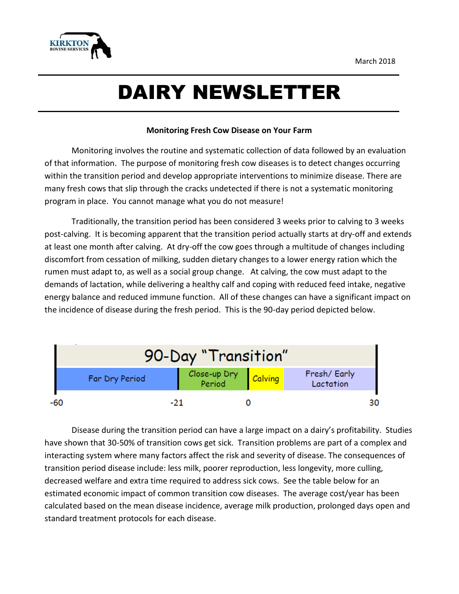

## DAIRY NEWSLETTER

## **Monitoring Fresh Cow Disease on Your Farm**

Monitoring involves the routine and systematic collection of data followed by an evaluation of that information. The purpose of monitoring fresh cow diseases is to detect changes occurring within the transition period and develop appropriate interventions to minimize disease. There are many fresh cows that slip through the cracks undetected if there is not a systematic monitoring program in place. You cannot manage what you do not measure!

Traditionally, the transition period has been considered 3 weeks prior to calving to 3 weeks post-calving. It is becoming apparent that the transition period actually starts at dry-off and extends at least one month after calving. At dry-off the cow goes through a multitude of changes including discomfort from cessation of milking, sudden dietary changes to a lower energy ration which the rumen must adapt to, as well as a social group change. At calving, the cow must adapt to the demands of lactation, while delivering a healthy calf and coping with reduced feed intake, negative energy balance and reduced immune function. All of these changes can have a significant impact on the incidence of disease during the fresh period. This is the 90-day period depicted below.

|     | 90-Day "Transition" |                                   |  |                          |  |  |  |  |  |
|-----|---------------------|-----------------------------------|--|--------------------------|--|--|--|--|--|
|     | Far Dry Period      | Close-up Dry <mark>Calving</mark> |  | Fresh/Early<br>Lactation |  |  |  |  |  |
| -60 | -21                 |                                   |  |                          |  |  |  |  |  |

Disease during the transition period can have a large impact on a dairy's profitability. Studies have shown that 30-50% of transition cows get sick. Transition problems are part of a complex and interacting system where many factors affect the risk and severity of disease. The consequences of transition period disease include: less milk, poorer reproduction, less longevity, more culling, decreased welfare and extra time required to address sick cows. See the table below for an estimated economic impact of common transition cow diseases. The average cost/year has been calculated based on the mean disease incidence, average milk production, prolonged days open and standard treatment protocols for each disease.